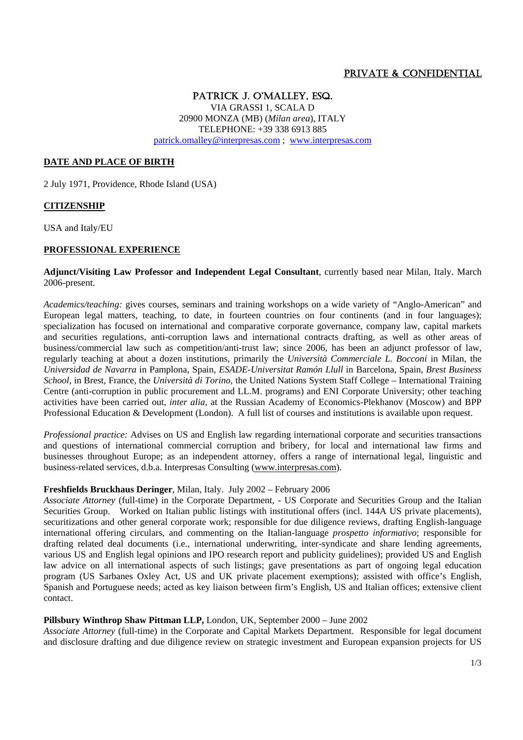# PRIVATE & CONFIDENTIAL

PATRICK J. O'MALLEY, ESQ. VIA GRASSI 1, SCALA D 20900 MONZA (MB) (*Milan area*), ITALY TELEPHONE: +39 338 6913 885 patrick.omalley@interpresas.com ; www.interpresas.com

### **DATE AND PLACE OF BIRTH**

2 July 1971, Providence, Rhode Island (USA)

### **CITIZENSHIP**

USA and Italy/EU

## **PROFESSIONAL EXPERIENCE**

#### **Adjunct/Visiting Law Professor and Independent Legal Consultant**, currently based near Milan, Italy. March 2006-present.

*Academics/teaching:* gives courses, seminars and training workshops on a wide variety of "Anglo-American" and European legal matters, teaching, to date, in fourteen countries on four continents (and in four languages); specialization has focused on international and comparative corporate governance, company law, capital markets and securities regulations, anti-corruption laws and international contracts drafting, as well as other areas of business/commercial law such as competition/anti-trust law; since 2006, has been an adjunct professor of law, regularly teaching at about a dozen institutions, primarily the *Università Commerciale L. Bocconi* in Milan, the *Universidad de Navarra* in Pamplona, Spain, *ESADE-Universitat Ramón Llull* in Barcelona, Spain, *Brest Business School,* in Brest, France, the *Università di Torino,* the United Nations System Staff College – International Training Centre (anti-corruption in public procurement and LL.M. programs) and ENI Corporate University; other teaching activities have been carried out, *inter alia*, at the Russian Academy of Economics-Plekhanov (Moscow) and BPP Professional Education & Development (London). A full list of courses and institutions is available upon request.

*Professional practice:* Advises on US and English law regarding international corporate and securities transactions and questions of international commercial corruption and bribery, for local and international law firms and businesses throughout Europe; as an independent attorney, offers a range of international legal, linguistic and business-related services, d.b.a. Interpresas Consulting (www.interpresas.com).

## **Freshfields Bruckhaus Deringer**, Milan, Italy. July 2002 – February 2006

*Associate Attorney* (full-time) in the Corporate Department, - US Corporate and Securities Group and the Italian Securities Group. Worked on Italian public listings with institutional offers (incl. 144A US private placements), securitizations and other general corporate work; responsible for due diligence reviews, drafting English-language international offering circulars, and commenting on the Italian-language *prospetto informativo*; responsible for drafting related deal documents (i.e., international underwriting, inter-syndicate and share lending agreements, various US and English legal opinions and IPO research report and publicity guidelines); provided US and English law advice on all international aspects of such listings; gave presentations as part of ongoing legal education program (US Sarbanes Oxley Act, US and UK private placement exemptions); assisted with office's English, Spanish and Portuguese needs; acted as key liaison between firm's English, US and Italian offices; extensive client contact.

### **Pillsbury Winthrop Shaw Pittman LLP,** London, UK, September 2000 – June 2002

*Associate Attorney* (full-time) in the Corporate and Capital Markets Department. Responsible for legal document and disclosure drafting and due diligence review on strategic investment and European expansion projects for US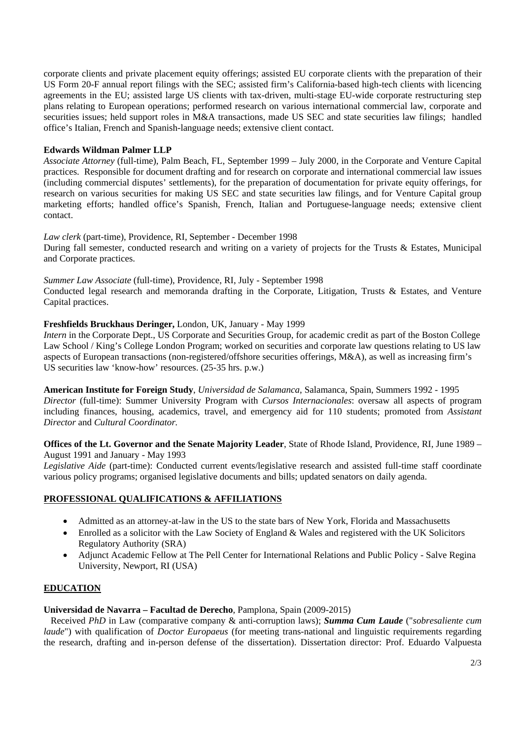corporate clients and private placement equity offerings; assisted EU corporate clients with the preparation of their US Form 20-F annual report filings with the SEC; assisted firm's California-based high-tech clients with licencing agreements in the EU; assisted large US clients with tax-driven, multi-stage EU-wide corporate restructuring step plans relating to European operations; performed research on various international commercial law, corporate and securities issues; held support roles in M&A transactions, made US SEC and state securities law filings; handled office's Italian, French and Spanish-language needs; extensive client contact.

### **Edwards Wildman Palmer LLP**

*Associate Attorney* (full-time), Palm Beach, FL, September 1999 – July 2000, in the Corporate and Venture Capital practices. Responsible for document drafting and for research on corporate and international commercial law issues (including commercial disputes' settlements), for the preparation of documentation for private equity offerings, for research on various securities for making US SEC and state securities law filings, and for Venture Capital group marketing efforts; handled office's Spanish, French, Italian and Portuguese-language needs; extensive client contact.

#### *Law clerk* (part-time), Providence, RI, September - December 1998

During fall semester, conducted research and writing on a variety of projects for the Trusts & Estates, Municipal and Corporate practices.

*Summer Law Associate* (full-time), Providence, RI, July - September 1998 Conducted legal research and memoranda drafting in the Corporate, Litigation, Trusts & Estates, and Venture Capital practices.

## **Freshfields Bruckhaus Deringer,** London, UK, January - May 1999

*Intern* in the Corporate Dept., US Corporate and Securities Group, for academic credit as part of the Boston College Law School / King's College London Program; worked on securities and corporate law questions relating to US law aspects of European transactions (non-registered/offshore securities offerings, M&A), as well as increasing firm's US securities law 'know-how' resources. (25-35 hrs. p.w.)

**American Institute for Foreign Study**, *Universidad de Salamanca*, Salamanca, Spain, Summers 1992 - 1995 *Director* (full-time): Summer University Program with *Cursos Internacionales*: oversaw all aspects of program including finances, housing, academics, travel, and emergency aid for 110 students; promoted from *Assistant Director* and *Cultural Coordinator.*

**Offices of the Lt. Governor and the Senate Majority Leader**, State of Rhode Island, Providence, RI, June 1989 – August 1991 and January - May 1993

*Legislative Aide* (part-time): Conducted current events/legislative research and assisted full-time staff coordinate various policy programs; organised legislative documents and bills; updated senators on daily agenda.

# **PROFESSIONAL QUALIFICATIONS & AFFILIATIONS**

- Admitted as an attorney-at-law in the US to the state bars of New York, Florida and Massachusetts
- Enrolled as a solicitor with the Law Society of England & Wales and registered with the UK Solicitors Regulatory Authority (SRA)
- Adjunct Academic Fellow at The Pell Center for International Relations and Public Policy Salve Regina University, Newport, RI (USA)

### **EDUCATION**

### **Universidad de Navarra – Facultad de Derecho**, Pamplona, Spain (2009-2015)

 Received *PhD* in Law (comparative company & anti-corruption laws); *Summa Cum Laude* ("*sobresaliente cum laude*") with qualification of *Doctor Europaeus* (for meeting trans-national and linguistic requirements regarding the research, drafting and in-person defense of the dissertation). Dissertation director: Prof. Eduardo Valpuesta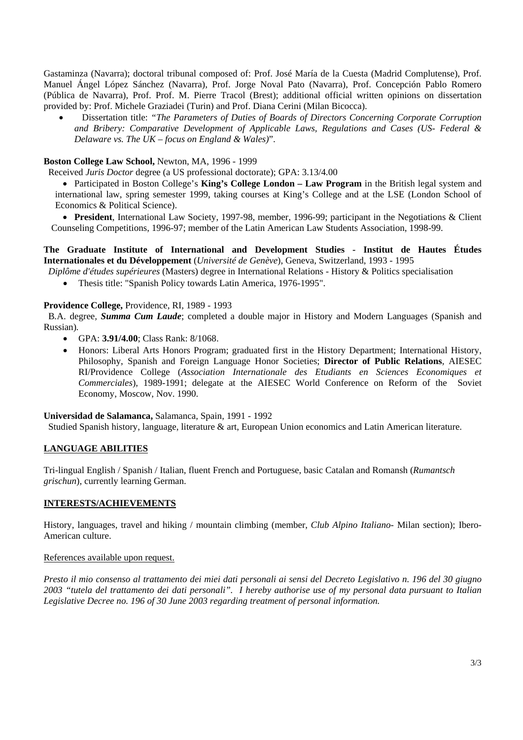Gastaminza (Navarra); doctoral tribunal composed of: Prof. José María de la Cuesta (Madrid Complutense), Prof. Manuel Ángel López Sánchez (Navarra), Prof. Jorge Noval Pato (Navarra), Prof. Concepción Pablo Romero (Pública de Navarra), Prof. Prof. M. Pierre Tracol (Brest); additional official written opinions on dissertation provided by: Prof. Michele Graziadei (Turin) and Prof. Diana Cerini (Milan Bicocca).

 Dissertation title: *"The Parameters of Duties of Boards of Directors Concerning Corporate Corruption and Bribery: Comparative Development of Applicable Laws, Regulations and Cases (US- Federal & Delaware vs. The UK – focus on England & Wales)*".

#### **Boston College Law School,** Newton, MA, 1996 - 1999

Received *Juris Doctor* degree (a US professional doctorate); GPA: 3.13/4.00

 Participated in Boston College's **King's College London – Law Program** in the British legal system and international law, spring semester 1999, taking courses at King's College and at the LSE (London School of Economics & Political Science).

 **President**, International Law Society, 1997-98, member, 1996-99; participant in the Negotiations & Client Counseling Competitions, 1996-97; member of the Latin American Law Students Association, 1998-99.

## **The Graduate Institute of International and Development Studies - Institut de Hautes Études Internationales et du Développement** (*Université de Genève*), Geneva, Switzerland, 1993 - 1995

*Diplôme d'études supérieures* (Masters) degree in International Relations - History & Politics specialisation

Thesis title: "Spanish Policy towards Latin America, 1976-1995".

#### **Providence College,** Providence, RI, 1989 - 1993

 B*.*A. degree*, Summa Cum Laude*; completed a double major in History and Modern Languages (Spanish and Russian)*.*

- GPA: **3.91/4.00**; Class Rank: 8/1068.
- Honors: Liberal Arts Honors Program; graduated first in the History Department; International History, Philosophy, Spanish and Foreign Language Honor Societies; **Director of Public Relations**, AIESEC RI/Providence College (*Association Internationale des Etudiants en Sciences Economiques et Commerciales*), 1989-1991; delegate at the AIESEC World Conference on Reform of the Soviet Economy, Moscow, Nov. 1990.

#### **Universidad de Salamanca,** Salamanca, Spain, 1991 - 1992

Studied Spanish history, language, literature & art, European Union economics and Latin American literature.

### **LANGUAGE ABILITIES**

Tri-lingual English / Spanish / Italian, fluent French and Portuguese, basic Catalan and Romansh (*Rumantsch grischun*), currently learning German.

### **INTERESTS/ACHIEVEMENTS**

History, languages, travel and hiking / mountain climbing (member, *Club Alpino Italiano*- Milan section); Ibero-American culture.

#### References available upon request.

*Presto il mio consenso al trattamento dei miei dati personali ai sensi del Decreto Legislativo n. 196 del 30 giugno 2003 "tutela del trattamento dei dati personali". I hereby authorise use of my personal data pursuant to Italian Legislative Decree no. 196 of 30 June 2003 regarding treatment of personal information.*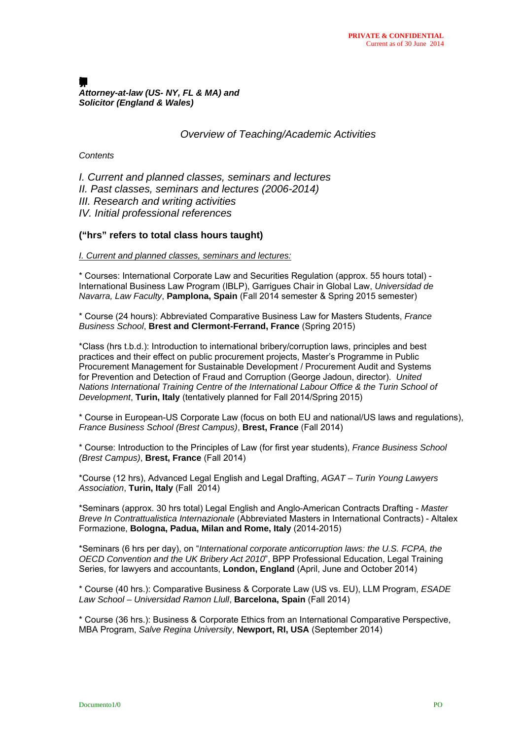#### $\blacksquare$ *Attorney-at-law (US- NY, FL & MA) and Solicitor (England & Wales)*

*Overview of Teaching/Academic Activities* 

### *Contents*

*I. Current and planned classes, seminars and lectures II. Past classes, seminars and lectures (2006-2014) III. Research and writing activities IV. Initial professional references* 

## **("hrs" refers to total class hours taught)**

*I. Current and planned classes, seminars and lectures:*

\* Courses: International Corporate Law and Securities Regulation (approx. 55 hours total) - International Business Law Program (IBLP), Garrigues Chair in Global Law, *Universidad de Navarra, Law Faculty*, **Pamplona, Spain** (Fall 2014 semester & Spring 2015 semester)

\* Course (24 hours): Abbreviated Comparative Business Law for Masters Students, *France Business School*, **Brest and Clermont-Ferrand, France** (Spring 2015)

\*Class (hrs t.b.d.): Introduction to international bribery/corruption laws, principles and best practices and their effect on public procurement projects, Master's Programme in Public Procurement Management for Sustainable Development / Procurement Audit and Systems for Prevention and Detection of Fraud and Corruption (George Jadoun, director). *United Nations International Training Centre of the International Labour Office & the Turin School of Development*, **Turin, Italy** (tentatively planned for Fall 2014/Spring 2015)

\* Course in European-US Corporate Law (focus on both EU and national/US laws and regulations), *France Business School (Brest Campus)*, **Brest, France** (Fall 2014)

\* Course: Introduction to the Principles of Law (for first year students), *France Business School (Brest Campus)*, **Brest, France** (Fall 2014)

\*Course (12 hrs), Advanced Legal English and Legal Drafting, *AGAT – Turin Young Lawyers Association*, **Turin, Italy** (Fall 2014)

\*Seminars (approx. 30 hrs total) Legal English and Anglo-American Contracts Drafting - *Master Breve In Contrattualistica Internazionale* (Abbreviated Masters in International Contracts) - Altalex Formazione, **Bologna, Padua, Milan and Rome, Italy** (2014-2015)

\*Seminars (6 hrs per day), on "*International corporate anticorruption laws: the U.S. FCPA, the OECD Convention and the UK Bribery Act 2010*", BPP Professional Education, Legal Training Series, for lawyers and accountants, **London, England** (April, June and October 2014)

\* Course (40 hrs.): Comparative Business & Corporate Law (US vs. EU), LLM Program, *ESADE Law School – Universidad Ramon Llull*, **Barcelona, Spain** (Fall 2014)

\* Course (36 hrs.): Business & Corporate Ethics from an International Comparative Perspective, MBA Program, *Salve Regina University*, **Newport, RI, USA** (September 2014)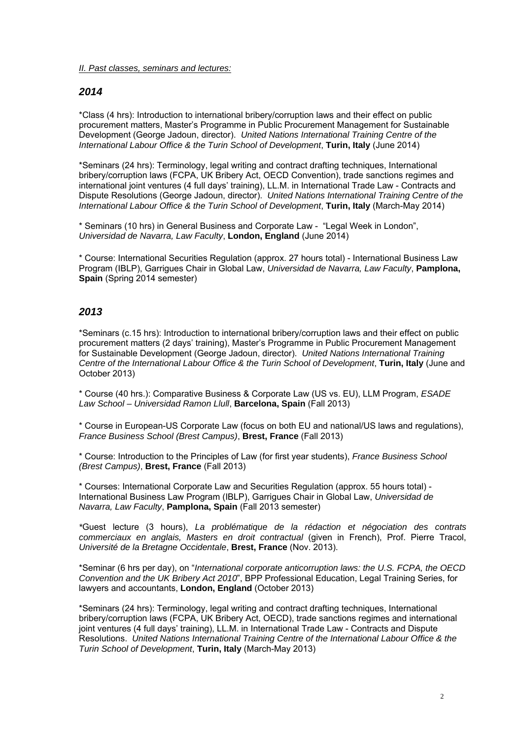*II. Past classes, seminars and lectures:*

# *2014*

\*Class (4 hrs): Introduction to international bribery/corruption laws and their effect on public procurement matters, Master's Programme in Public Procurement Management for Sustainable Development (George Jadoun, director). *United Nations International Training Centre of the International Labour Office & the Turin School of Development*, **Turin, Italy** (June 2014)

\*Seminars (24 hrs): Terminology, legal writing and contract drafting techniques, International bribery/corruption laws (FCPA, UK Bribery Act, OECD Convention), trade sanctions regimes and international joint ventures (4 full days' training), LL.M. in International Trade Law - Contracts and Dispute Resolutions (George Jadoun, director). *United Nations International Training Centre of the International Labour Office & the Turin School of Development*, **Turin, Italy** (March-May 2014)

\* Seminars (10 hrs) in General Business and Corporate Law - "Legal Week in London", *Universidad de Navarra, Law Faculty*, **London, England** (June 2014)

\* Course: International Securities Regulation (approx. 27 hours total) - International Business Law Program (IBLP), Garrigues Chair in Global Law, *Universidad de Navarra, Law Faculty*, **Pamplona, Spain** (Spring 2014 semester)

# *2013*

\*Seminars (c.15 hrs): Introduction to international bribery/corruption laws and their effect on public procurement matters (2 days' training), Master's Programme in Public Procurement Management for Sustainable Development (George Jadoun, director). *United Nations International Training Centre of the International Labour Office & the Turin School of Development*, **Turin, Italy** (June and October 2013)

\* Course (40 hrs.): Comparative Business & Corporate Law (US vs. EU), LLM Program, *ESADE Law School – Universidad Ramon Llull*, **Barcelona, Spain** (Fall 2013)

\* Course in European-US Corporate Law (focus on both EU and national/US laws and regulations), *France Business School (Brest Campus)*, **Brest, France** (Fall 2013)

\* Course: Introduction to the Principles of Law (for first year students), *France Business School (Brest Campus)*, **Brest, France** (Fall 2013)

\* Courses: International Corporate Law and Securities Regulation (approx. 55 hours total) - International Business Law Program (IBLP), Garrigues Chair in Global Law, *Universidad de Navarra, Law Faculty*, **Pamplona, Spain** (Fall 2013 semester)

*\**Guest lecture (3 hours), *La problématique de la rédaction et négociation des contrats commerciaux en anglais, Masters en droit contractual* (given in French), Prof. Pierre Tracol, *Université de la Bretagne Occidentale*, **Brest, France** (Nov. 2013).

\*Seminar (6 hrs per day), on "*International corporate anticorruption laws: the U.S. FCPA, the OECD Convention and the UK Bribery Act 2010*", BPP Professional Education, Legal Training Series, for lawyers and accountants, **London, England** (October 2013)

\*Seminars (24 hrs): Terminology, legal writing and contract drafting techniques, International bribery/corruption laws (FCPA, UK Bribery Act, OECD), trade sanctions regimes and international joint ventures (4 full days' training), LL.M. in International Trade Law - Contracts and Dispute Resolutions. *United Nations International Training Centre of the International Labour Office & the Turin School of Development*, **Turin, Italy** (March-May 2013)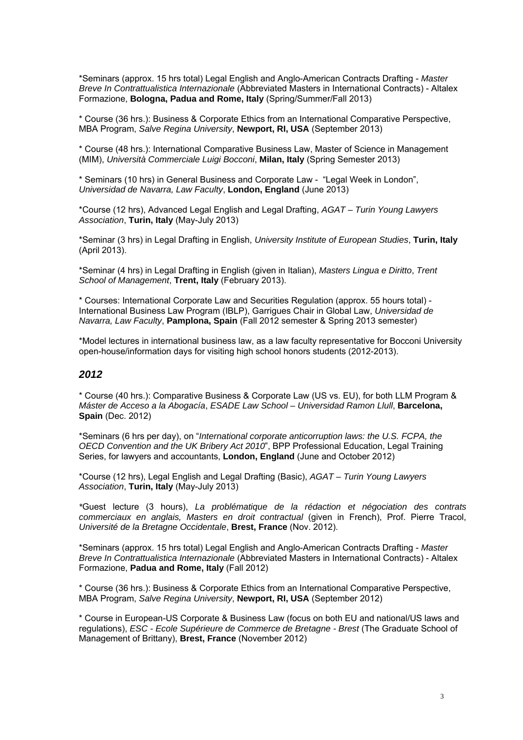\*Seminars (approx. 15 hrs total) Legal English and Anglo-American Contracts Drafting - *Master Breve In Contrattualistica Internazionale* (Abbreviated Masters in International Contracts) - Altalex Formazione, **Bologna, Padua and Rome, Italy** (Spring/Summer/Fall 2013)

\* Course (36 hrs.): Business & Corporate Ethics from an International Comparative Perspective, MBA Program, *Salve Regina University*, **Newport, RI, USA** (September 2013)

\* Course (48 hrs.): International Comparative Business Law, Master of Science in Management (MIM), *Università Commerciale Luigi Bocconi*, **Milan, Italy** (Spring Semester 2013)

\* Seminars (10 hrs) in General Business and Corporate Law - "Legal Week in London", *Universidad de Navarra, Law Faculty*, **London, England** (June 2013)

\*Course (12 hrs), Advanced Legal English and Legal Drafting, *AGAT – Turin Young Lawyers Association*, **Turin, Italy** (May-July 2013)

\*Seminar (3 hrs) in Legal Drafting in English, *University Institute of European Studies*, **Turin, Italy** (April 2013).

\*Seminar (4 hrs) in Legal Drafting in English (given in Italian), *Masters Lingua e Diritto*, *Trent School of Management*, **Trent, Italy** (February 2013).

\* Courses: International Corporate Law and Securities Regulation (approx. 55 hours total) - International Business Law Program (IBLP), Garrigues Chair in Global Law, *Universidad de Navarra, Law Faculty*, **Pamplona, Spain** (Fall 2012 semester & Spring 2013 semester)

\*Model lectures in international business law, as a law faculty representative for Bocconi University open-house/information days for visiting high school honors students (2012-2013).

# *2012*

\* Course (40 hrs.): Comparative Business & Corporate Law (US vs. EU), for both LLM Program & *Máster de Acceso a la Abogacía*, *ESADE Law School – Universidad Ramon Llull*, **Barcelona, Spain** (Dec. 2012)

\*Seminars (6 hrs per day), on "*International corporate anticorruption laws: the U.S. FCPA, the OECD Convention and the UK Bribery Act 2010*", BPP Professional Education, Legal Training Series, for lawyers and accountants, **London, England** (June and October 2012)

\*Course (12 hrs), Legal English and Legal Drafting (Basic), *AGAT – Turin Young Lawyers Association*, **Turin, Italy** (May-July 2013)

*\**Guest lecture (3 hours), *La problématique de la rédaction et négociation des contrats commerciaux en anglais, Masters en droit contractual* (given in French), Prof. Pierre Tracol, *Université de la Bretagne Occidentale*, **Brest, France** (Nov. 2012).

\*Seminars (approx. 15 hrs total) Legal English and Anglo-American Contracts Drafting - *Master Breve In Contrattualistica Internazionale* (Abbreviated Masters in International Contracts) - Altalex Formazione, **Padua and Rome, Italy** (Fall 2012)

\* Course (36 hrs.): Business & Corporate Ethics from an International Comparative Perspective, MBA Program, *Salve Regina University*, **Newport, RI, USA** (September 2012)

\* Course in European-US Corporate & Business Law (focus on both EU and national/US laws and regulations), *ESC - Ecole Supérieure de Commerce de Bretagne - Brest* (The Graduate School of Management of Brittany), **Brest, France** (November 2012)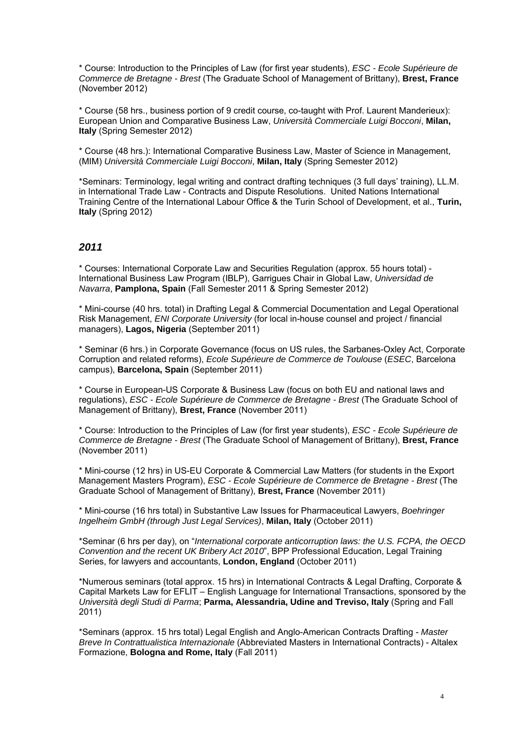\* Course: Introduction to the Principles of Law (for first year students), *ESC - Ecole Supérieure de Commerce de Bretagne - Brest* (The Graduate School of Management of Brittany), **Brest, France** (November 2012)

\* Course (58 hrs., business portion of 9 credit course, co-taught with Prof. Laurent Manderieux): European Union and Comparative Business Law, *Università Commerciale Luigi Bocconi*, **Milan, Italy** (Spring Semester 2012)

\* Course (48 hrs.): International Comparative Business Law, Master of Science in Management, (MIM) *Università Commerciale Luigi Bocconi*, **Milan, Italy** (Spring Semester 2012)

\*Seminars: Terminology, legal writing and contract drafting techniques (3 full days' training), LL.M. in International Trade Law - Contracts and Dispute Resolutions. United Nations International Training Centre of the International Labour Office & the Turin School of Development, et al., **Turin, Italy** (Spring 2012)

# *2011*

\* Courses: International Corporate Law and Securities Regulation (approx. 55 hours total) - International Business Law Program (IBLP), Garrigues Chair in Global Law, *Universidad de Navarra*, **Pamplona, Spain** (Fall Semester 2011 & Spring Semester 2012)

\* Mini-course (40 hrs. total) in Drafting Legal & Commercial Documentation and Legal Operational Risk Management, *ENI Corporate University* (for local in-house counsel and project / financial managers), **Lagos, Nigeria** (September 2011)

\* Seminar (6 hrs.) in Corporate Governance (focus on US rules, the Sarbanes-Oxley Act, Corporate Corruption and related reforms), *Ecole Supérieure de Commerce de Toulouse* (*ESEC*, Barcelona campus), **Barcelona, Spain** (September 2011)

\* Course in European-US Corporate & Business Law (focus on both EU and national laws and regulations), *ESC - Ecole Supérieure de Commerce de Bretagne - Brest* (The Graduate School of Management of Brittany), **Brest, France** (November 2011)

\* Course: Introduction to the Principles of Law (for first year students), *ESC - Ecole Supérieure de Commerce de Bretagne - Brest* (The Graduate School of Management of Brittany), **Brest, France** (November 2011)

\* Mini-course (12 hrs) in US-EU Corporate & Commercial Law Matters (for students in the Export Management Masters Program), *ESC - Ecole Supérieure de Commerce de Bretagne - Brest* (The Graduate School of Management of Brittany), **Brest, France** (November 2011)

\* Mini-course (16 hrs total) in Substantive Law Issues for Pharmaceutical Lawyers, *Boehringer Ingelheim GmbH (through Just Legal Services)*, **Milan, Italy** (October 2011)

\*Seminar (6 hrs per day), on "*International corporate anticorruption laws: the U.S. FCPA, the OECD Convention and the recent UK Bribery Act 2010*", BPP Professional Education, Legal Training Series, for lawyers and accountants, **London, England** (October 2011)

\*Numerous seminars (total approx. 15 hrs) in International Contracts & Legal Drafting, Corporate & Capital Markets Law for EFLIT – English Language for International Transactions, sponsored by the *Università degli Studi di Parma*; **Parma, Alessandria, Udine and Treviso, Italy** (Spring and Fall 2011)

\*Seminars (approx. 15 hrs total) Legal English and Anglo-American Contracts Drafting - *Master Breve In Contrattualistica Internazionale* (Abbreviated Masters in International Contracts) - Altalex Formazione, **Bologna and Rome, Italy** (Fall 2011)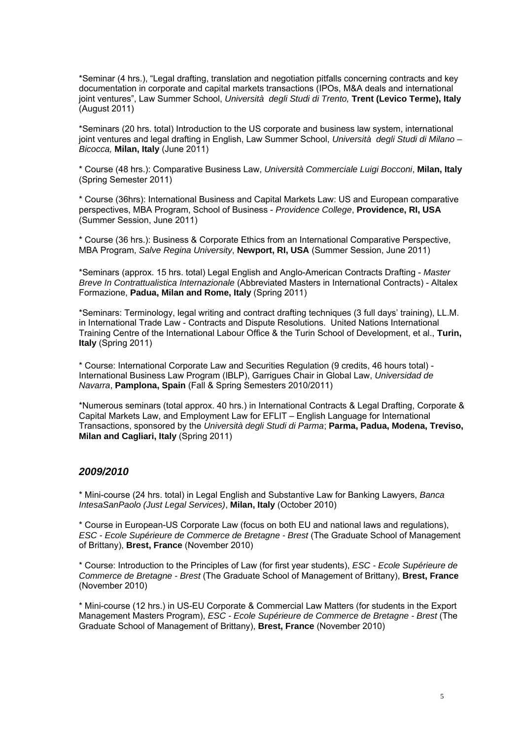\*Seminar (4 hrs.), "Legal drafting, translation and negotiation pitfalls concerning contracts and key documentation in corporate and capital markets transactions (IPOs, M&A deals and international joint ventures", Law Summer School, *Università degli Studi di Trento,* **Trent (Levico Terme), Italy** (August 2011)

\*Seminars (20 hrs. total) Introduction to the US corporate and business law system, international joint ventures and legal drafting in English, Law Summer School, *Università degli Studi di Milano – Bicocca,* **Milan, Italy** (June 2011)

\* Course (48 hrs.): Comparative Business Law, *Università Commerciale Luigi Bocconi*, **Milan, Italy** (Spring Semester 2011)

\* Course (36hrs): International Business and Capital Markets Law: US and European comparative perspectives, MBA Program, School of Business - *Providence College*, **Providence, RI, USA** (Summer Session, June 2011)

\* Course (36 hrs.): Business & Corporate Ethics from an International Comparative Perspective, MBA Program, *Salve Regina University*, **Newport, RI, USA** (Summer Session, June 2011)

\*Seminars (approx. 15 hrs. total) Legal English and Anglo-American Contracts Drafting - *Master Breve In Contrattualistica Internazionale* (Abbreviated Masters in International Contracts) - Altalex Formazione, **Padua, Milan and Rome, Italy** (Spring 2011)

\*Seminars: Terminology, legal writing and contract drafting techniques (3 full days' training), LL.M. in International Trade Law - Contracts and Dispute Resolutions. United Nations International Training Centre of the International Labour Office & the Turin School of Development, et al., **Turin, Italy** (Spring 2011)

\* Course: International Corporate Law and Securities Regulation (9 credits, 46 hours total) - International Business Law Program (IBLP), Garrigues Chair in Global Law, *Universidad de Navarra*, **Pamplona, Spain** (Fall & Spring Semesters 2010/2011)

\*Numerous seminars (total approx. 40 hrs.) in International Contracts & Legal Drafting, Corporate & Capital Markets Law, and Employment Law for EFLIT – English Language for International Transactions, sponsored by the *Università degli Studi di Parma*; **Parma, Padua, Modena, Treviso, Milan and Cagliari, Italy** (Spring 2011)

# *2009/2010*

\* Mini-course (24 hrs. total) in Legal English and Substantive Law for Banking Lawyers, *Banca IntesaSanPaolo (Just Legal Services)*, **Milan, Italy** (October 2010)

\* Course in European-US Corporate Law (focus on both EU and national laws and regulations), *ESC - Ecole Supérieure de Commerce de Bretagne - Brest* (The Graduate School of Management of Brittany), **Brest, France** (November 2010)

\* Course: Introduction to the Principles of Law (for first year students), *ESC - Ecole Supérieure de Commerce de Bretagne - Brest* (The Graduate School of Management of Brittany), **Brest, France** (November 2010)

\* Mini-course (12 hrs.) in US-EU Corporate & Commercial Law Matters (for students in the Export Management Masters Program), *ESC - Ecole Supérieure de Commerce de Bretagne - Brest* (The Graduate School of Management of Brittany), **Brest, France** (November 2010)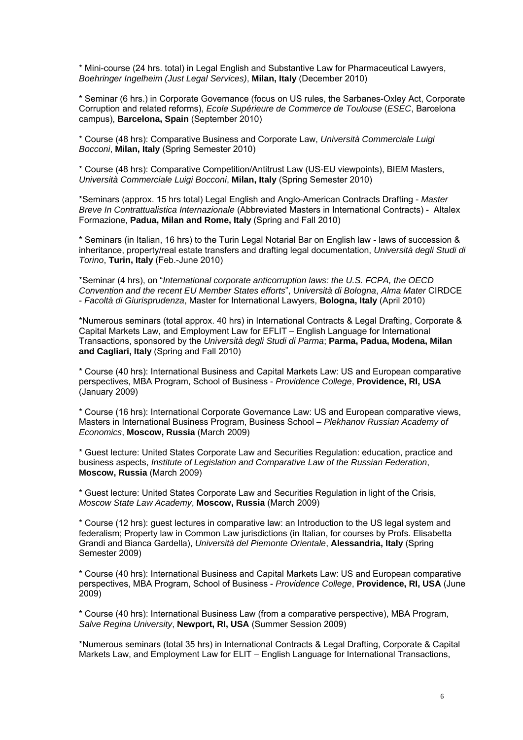\* Mini-course (24 hrs. total) in Legal English and Substantive Law for Pharmaceutical Lawyers, *Boehringer Ingelheim (Just Legal Services)*, **Milan, Italy** (December 2010)

\* Seminar (6 hrs.) in Corporate Governance (focus on US rules, the Sarbanes-Oxley Act, Corporate Corruption and related reforms), *Ecole Supérieure de Commerce de Toulouse* (*ESEC*, Barcelona campus), **Barcelona, Spain** (September 2010)

\* Course (48 hrs): Comparative Business and Corporate Law, *Università Commerciale Luigi Bocconi*, **Milan, Italy** (Spring Semester 2010)

\* Course (48 hrs): Comparative Competition/Antitrust Law (US-EU viewpoints), BIEM Masters, *Università Commerciale Luigi Bocconi*, **Milan, Italy** (Spring Semester 2010)

\*Seminars (approx. 15 hrs total) Legal English and Anglo-American Contracts Drafting - *Master Breve In Contrattualistica Internazionale* (Abbreviated Masters in International Contracts) - Altalex Formazione, **Padua, Milan and Rome, Italy** (Spring and Fall 2010)

\* Seminars (in Italian, 16 hrs) to the Turin Legal Notarial Bar on English law - laws of succession & inheritance, property/real estate transfers and drafting legal documentation, *Università degli Studi di Torino*, **Turin, Italy** (Feb.-June 2010)

\*Seminar (4 hrs), on "*International corporate anticorruption laws: the U.S. FCPA, the OECD Convention and the recent EU Member States efforts*", *Università di Bologna*, *Alma Mater* CIRDCE - *Facoltà di Giurisprudenza*, Master for International Lawyers, **Bologna, Italy** (April 2010)

\*Numerous seminars (total approx. 40 hrs) in International Contracts & Legal Drafting, Corporate & Capital Markets Law, and Employment Law for EFLIT – English Language for International Transactions, sponsored by the *Università degli Studi di Parma*; **Parma, Padua, Modena, Milan and Cagliari, Italy** (Spring and Fall 2010)

\* Course (40 hrs): International Business and Capital Markets Law: US and European comparative perspectives, MBA Program, School of Business - *Providence College*, **Providence, RI, USA** (January 2009)

\* Course (16 hrs): International Corporate Governance Law: US and European comparative views, Masters in International Business Program, Business School – *Plekhanov Russian Academy of Economics*, **Moscow, Russia** (March 2009)

\* Guest lecture: United States Corporate Law and Securities Regulation: education, practice and business aspects, *Institute of Legislation and Comparative Law of the Russian Federation*, **Moscow, Russia** (March 2009)

\* Guest lecture: United States Corporate Law and Securities Regulation in light of the Crisis, *Moscow State Law Academy*, **Moscow, Russia** (March 2009)

\* Course (12 hrs): guest lectures in comparative law: an Introduction to the US legal system and federalism; Property law in Common Law jurisdictions (in Italian, for courses by Profs. Elisabetta Grandi and Bianca Gardella), *Università del Piemonte Orientale*, **Alessandria, Italy** (Spring Semester 2009)

\* Course (40 hrs): International Business and Capital Markets Law: US and European comparative perspectives, MBA Program, School of Business - *Providence College*, **Providence, RI, USA** (June 2009)

\* Course (40 hrs): International Business Law (from a comparative perspective), MBA Program, *Salve Regina University*, **Newport, RI, USA** (Summer Session 2009)

\*Numerous seminars (total 35 hrs) in International Contracts & Legal Drafting, Corporate & Capital Markets Law, and Employment Law for ELIT – English Language for International Transactions,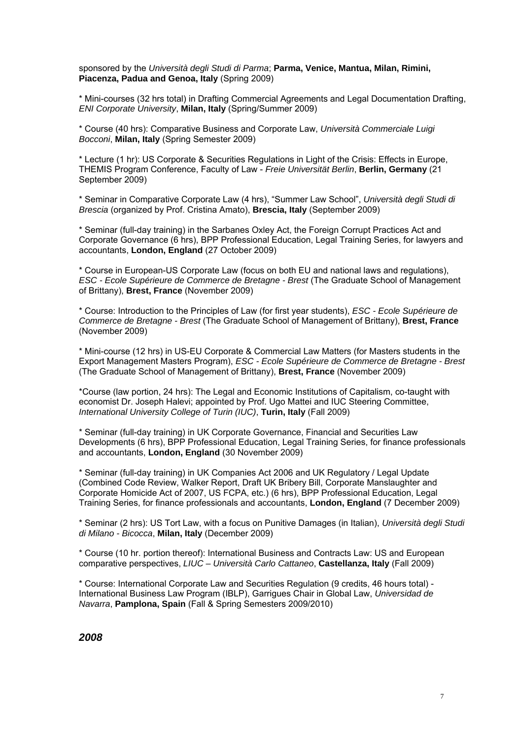sponsored by the *Università degli Studi di Parma*; **Parma, Venice, Mantua, Milan, Rimini, Piacenza, Padua and Genoa, Italy** (Spring 2009)

\* Mini-courses (32 hrs total) in Drafting Commercial Agreements and Legal Documentation Drafting, *ENI Corporate University*, **Milan, Italy** (Spring/Summer 2009)

\* Course (40 hrs): Comparative Business and Corporate Law, *Università Commerciale Luigi Bocconi*, **Milan, Italy** (Spring Semester 2009)

\* Lecture (1 hr): US Corporate & Securities Regulations in Light of the Crisis: Effects in Europe, THEMIS Program Conference, Faculty of Law - *Freie Universität Berlin*, **Berlin, Germany** (21 September 2009)

\* Seminar in Comparative Corporate Law (4 hrs), "Summer Law School", *Università degli Studi di Brescia* (organized by Prof. Cristina Amato), **Brescia, Italy** (September 2009)

\* Seminar (full-day training) in the Sarbanes Oxley Act, the Foreign Corrupt Practices Act and Corporate Governance (6 hrs), BPP Professional Education, Legal Training Series, for lawyers and accountants, **London, England** (27 October 2009)

\* Course in European-US Corporate Law (focus on both EU and national laws and regulations), *ESC - Ecole Supérieure de Commerce de Bretagne - Brest* (The Graduate School of Management of Brittany), **Brest, France** (November 2009)

\* Course: Introduction to the Principles of Law (for first year students), *ESC - Ecole Supérieure de Commerce de Bretagne - Brest* (The Graduate School of Management of Brittany), **Brest, France** (November 2009)

\* Mini-course (12 hrs) in US-EU Corporate & Commercial Law Matters (for Masters students in the Export Management Masters Program), *ESC - Ecole Supérieure de Commerce de Bretagne - Brest* (The Graduate School of Management of Brittany), **Brest, France** (November 2009)

\*Course (law portion, 24 hrs): The Legal and Economic Institutions of Capitalism, co-taught with economist Dr. Joseph Halevi; appointed by Prof. Ugo Mattei and IUC Steering Committee, *International University College of Turin (IUC)*, **Turin, Italy** (Fall 2009)

\* Seminar (full-day training) in UK Corporate Governance, Financial and Securities Law Developments (6 hrs), BPP Professional Education, Legal Training Series, for finance professionals and accountants, **London, England** (30 November 2009)

\* Seminar (full-day training) in UK Companies Act 2006 and UK Regulatory / Legal Update (Combined Code Review, Walker Report, Draft UK Bribery Bill, Corporate Manslaughter and Corporate Homicide Act of 2007, US FCPA, etc.) (6 hrs), BPP Professional Education, Legal Training Series, for finance professionals and accountants, **London, England** (7 December 2009)

\* Seminar (2 hrs): US Tort Law, with a focus on Punitive Damages (in Italian), *Università degli Studi di Milano - Bicocca*, **Milan, Italy** (December 2009)

\* Course (10 hr. portion thereof): International Business and Contracts Law: US and European comparative perspectives, *LIUC – Università Carlo Cattaneo*, **Castellanza, Italy** (Fall 2009)

\* Course: International Corporate Law and Securities Regulation (9 credits, 46 hours total) - International Business Law Program (IBLP), Garrigues Chair in Global Law, *Universidad de Navarra*, **Pamplona, Spain** (Fall & Spring Semesters 2009/2010)

*2008*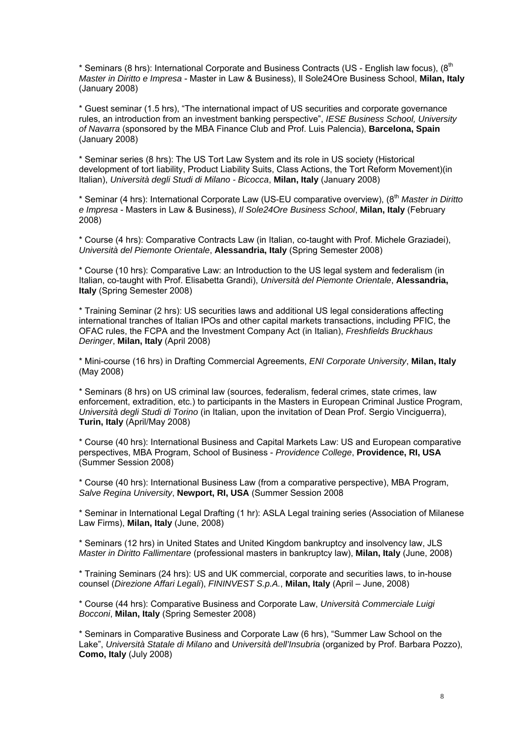\* Seminars (8 hrs): International Corporate and Business Contracts (US - English law focus), (8<sup>th</sup> *Master in Diritto e Impresa* - Master in Law & Business), Il Sole24Ore Business School, **Milan, Italy** (January 2008)

\* Guest seminar (1.5 hrs), "The international impact of US securities and corporate governance rules, an introduction from an investment banking perspective", *IESE Business School, University of Navarra* (sponsored by the MBA Finance Club and Prof. Luis Palencia), **Barcelona, Spain** (January 2008)

\* Seminar series (8 hrs): The US Tort Law System and its role in US society (Historical development of tort liability, Product Liability Suits, Class Actions, the Tort Reform Movement)(in Italian), *Università degli Studi di Milano - Bicocca*, **Milan, Italy** (January 2008)

\* Seminar (4 hrs): International Corporate Law (US-EU comparative overview), (8th *Master in Diritto e Impresa* - Masters in Law & Business), *Il Sole24Ore Business School*, **Milan, Italy** (February 2008)

\* Course (4 hrs): Comparative Contracts Law (in Italian, co-taught with Prof. Michele Graziadei), *Università del Piemonte Orientale*, **Alessandria, Italy** (Spring Semester 2008)

\* Course (10 hrs): Comparative Law: an Introduction to the US legal system and federalism (in Italian, co-taught with Prof. Elisabetta Grandi), *Università del Piemonte Orientale*, **Alessandria, Italy** (Spring Semester 2008)

\* Training Seminar (2 hrs): US securities laws and additional US legal considerations affecting international tranches of Italian IPOs and other capital markets transactions, including PFIC, the OFAC rules, the FCPA and the Investment Company Act (in Italian), *Freshfields Bruckhaus Deringer*, **Milan, Italy** (April 2008)

\* Mini-course (16 hrs) in Drafting Commercial Agreements, *ENI Corporate University*, **Milan, Italy**  (May 2008)

\* Seminars (8 hrs) on US criminal law (sources, federalism, federal crimes, state crimes, law enforcement, extradition, etc.) to participants in the Masters in European Criminal Justice Program, *Università degli Studi di Torino* (in Italian, upon the invitation of Dean Prof. Sergio Vinciguerra), **Turin, Italy** (April/May 2008)

\* Course (40 hrs): International Business and Capital Markets Law: US and European comparative perspectives, MBA Program, School of Business - *Providence College*, **Providence, RI, USA** (Summer Session 2008)

\* Course (40 hrs): International Business Law (from a comparative perspective), MBA Program, *Salve Regina University*, **Newport, RI, USA** (Summer Session 2008

\* Seminar in International Legal Drafting (1 hr): ASLA Legal training series (Association of Milanese Law Firms), **Milan, Italy** (June, 2008)

\* Seminars (12 hrs) in United States and United Kingdom bankruptcy and insolvency law, JLS *Master in Diritto Fallimentare* (professional masters in bankruptcy law), **Milan, Italy** (June, 2008)

\* Training Seminars (24 hrs): US and UK commercial, corporate and securities laws, to in-house counsel (*Direzione Affari Legali*), *FININVEST S.p.A.*, **Milan, Italy** (April – June, 2008)

\* Course (44 hrs): Comparative Business and Corporate Law, *Università Commerciale Luigi Bocconi*, **Milan, Italy** (Spring Semester 2008)

\* Seminars in Comparative Business and Corporate Law (6 hrs), "Summer Law School on the Lake", *Università Statale di Milano* and *Università dell'Insubria* (organized by Prof. Barbara Pozzo), **Como, Italy** (July 2008)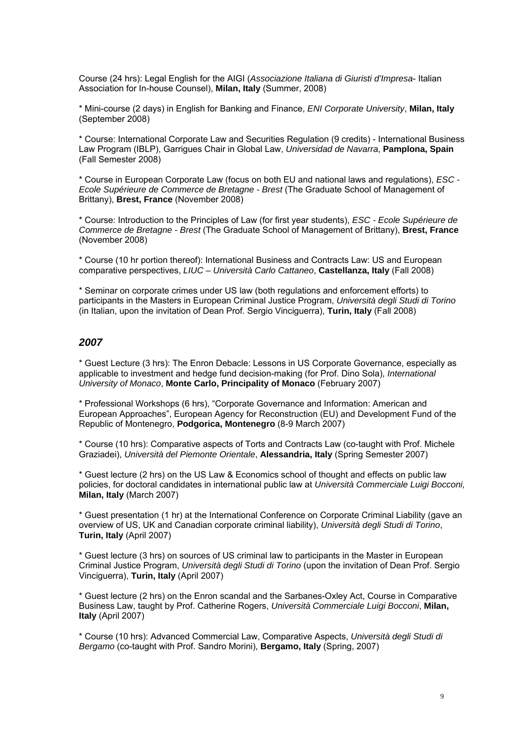Course (24 hrs): Legal English for the AIGI (*Associazione Italiana di Giuristi d'Impresa*- Italian Association for In-house Counsel), **Milan, Italy** (Summer, 2008)

\* Mini-course (2 days) in English for Banking and Finance, *ENI Corporate University*, **Milan, Italy**  (September 2008)

\* Course: International Corporate Law and Securities Regulation (9 credits) - International Business Law Program (IBLP), Garrigues Chair in Global Law, *Universidad de Navarra*, **Pamplona, Spain** (Fall Semester 2008)

\* Course in European Corporate Law (focus on both EU and national laws and regulations), *ESC - Ecole Supérieure de Commerce de Bretagne - Brest* (The Graduate School of Management of Brittany), **Brest, France** (November 2008)

\* Course: Introduction to the Principles of Law (for first year students), *ESC - Ecole Supérieure de Commerce de Bretagne - Brest* (The Graduate School of Management of Brittany), **Brest, France** (November 2008)

\* Course (10 hr portion thereof): International Business and Contracts Law: US and European comparative perspectives, *LIUC – Università Carlo Cattaneo*, **Castellanza, Italy** (Fall 2008)

\* Seminar on corporate crimes under US law (both regulations and enforcement efforts) to participants in the Masters in European Criminal Justice Program, *Università degli Studi di Torino* (in Italian, upon the invitation of Dean Prof. Sergio Vinciguerra), **Turin, Italy** (Fall 2008)

# *2007*

\* Guest Lecture (3 hrs): The Enron Debacle: Lessons in US Corporate Governance, especially as applicable to investment and hedge fund decision-making (for Prof. Dino Sola), *International University of Monaco*, **Monte Carlo, Principality of Monaco** (February 2007)

\* Professional Workshops (6 hrs), "Corporate Governance and Information: American and European Approaches", European Agency for Reconstruction (EU) and Development Fund of the Republic of Montenegro, **Podgorica, Montenegro** (8-9 March 2007)

\* Course (10 hrs): Comparative aspects of Torts and Contracts Law (co-taught with Prof. Michele Graziadei), *Università del Piemonte Orientale*, **Alessandria, Italy** (Spring Semester 2007)

\* Guest lecture (2 hrs) on the US Law & Economics school of thought and effects on public law policies, for doctoral candidates in international public law at *Università Commerciale Luigi Bocconi,*  **Milan, Italy** (March 2007)

\* Guest presentation (1 hr) at the International Conference on Corporate Criminal Liability (gave an overview of US, UK and Canadian corporate criminal liability), *Università degli Studi di Torino*, **Turin, Italy** (April 2007)

\* Guest lecture (3 hrs) on sources of US criminal law to participants in the Master in European Criminal Justice Program, *Università degli Studi di Torino* (upon the invitation of Dean Prof. Sergio Vinciguerra), **Turin, Italy** (April 2007)

\* Guest lecture (2 hrs) on the Enron scandal and the Sarbanes-Oxley Act, Course in Comparative Business Law, taught by Prof. Catherine Rogers, *Università Commerciale Luigi Bocconi*, **Milan, Italy** (April 2007)

\* Course (10 hrs): Advanced Commercial Law, Comparative Aspects, *Università degli Studi di Bergamo* (co-taught with Prof. Sandro Morini), **Bergamo, Italy** (Spring, 2007)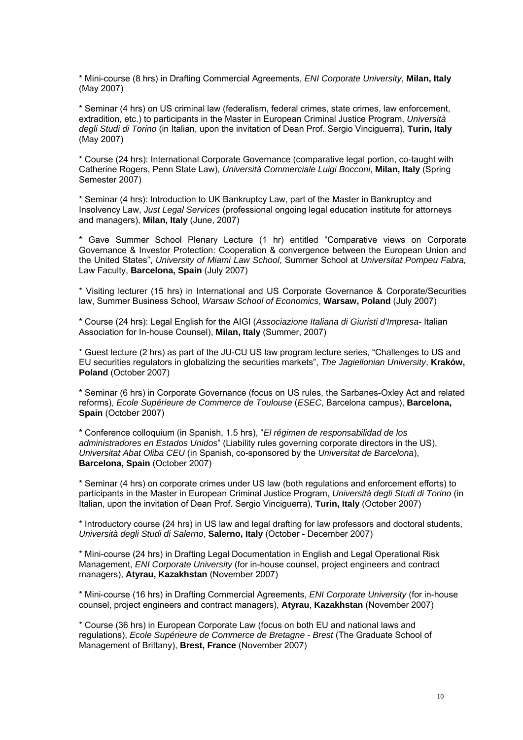\* Mini-course (8 hrs) in Drafting Commercial Agreements, *ENI Corporate University*, **Milan, Italy**  (May 2007)

\* Seminar (4 hrs) on US criminal law (federalism, federal crimes, state crimes, law enforcement, extradition, etc.) to participants in the Master in European Criminal Justice Program, *Università degli Studi di Torino* (in Italian, upon the invitation of Dean Prof. Sergio Vinciguerra), **Turin, Italy** (May 2007)

\* Course (24 hrs): International Corporate Governance (comparative legal portion, co-taught with Catherine Rogers, Penn State Law), *Università Commerciale Luigi Bocconi*, **Milan, Italy** (Spring Semester 2007)

\* Seminar (4 hrs): Introduction to UK Bankruptcy Law, part of the Master in Bankruptcy and Insolvency Law, *Just Legal Services* (professional ongoing legal education institute for attorneys and managers), **Milan, Italy** (June, 2007)

\* Gave Summer School Plenary Lecture (1 hr) entitled "Comparative views on Corporate Governance & Investor Protection: Cooperation & convergence between the European Union and the United States", *University of Miami Law School*, Summer School at *Universitat Pompeu Fabra,*  Law Faculty, **Barcelona, Spain** (July 2007)

\* Visiting lecturer (15 hrs) in International and US Corporate Governance & Corporate/Securities law, Summer Business School, *Warsaw School of Economics*, **Warsaw, Poland** (July 2007)

\* Course (24 hrs): Legal English for the AIGI (*Associazione Italiana di Giuristi d'Impresa*- Italian Association for In-house Counsel), **Milan, Italy** (Summer, 2007)

\* Guest lecture (2 hrs) as part of the JU-CU US law program lecture series, "Challenges to US and EU securities regulators in globalizing the securities markets", *The Jagiellonian University*, **Kraków, Poland** (October 2007)

\* Seminar (6 hrs) in Corporate Governance (focus on US rules, the Sarbanes-Oxley Act and related reforms), *Ecole Supérieure de Commerce de Toulouse* (*ESEC*, Barcelona campus), **Barcelona, Spain** (October 2007)

\* Conference colloquium (in Spanish, 1.5 hrs), "*El régimen de responsabilidad de los administradores en Estados Unidos*" (Liability rules governing corporate directors in the US), *Universitat Abat Oliba CEU* (in Spanish, co-sponsored by the *Universitat de Barcelona*), **Barcelona, Spain** (October 2007)

\* Seminar (4 hrs) on corporate crimes under US law (both regulations and enforcement efforts) to participants in the Master in European Criminal Justice Program, *Università degli Studi di Torino* (in Italian, upon the invitation of Dean Prof. Sergio Vinciguerra), **Turin, Italy** (October 2007)

\* Introductory course (24 hrs) in US law and legal drafting for law professors and doctoral students, *Università degli Studi di Salerno*, **Salerno, Italy** (October - December 2007)

\* Mini-course (24 hrs) in Drafting Legal Documentation in English and Legal Operational Risk Management, *ENI Corporate University* (for in-house counsel, project engineers and contract managers), **Atyrau, Kazakhstan** (November 2007)

\* Mini-course (16 hrs) in Drafting Commercial Agreements, *ENI Corporate University* (for in-house counsel, project engineers and contract managers), **Atyrau**, **Kazakhstan** (November 2007)

\* Course (36 hrs) in European Corporate Law (focus on both EU and national laws and regulations), *Ecole Supérieure de Commerce de Bretagne - Brest* (The Graduate School of Management of Brittany), **Brest, France** (November 2007)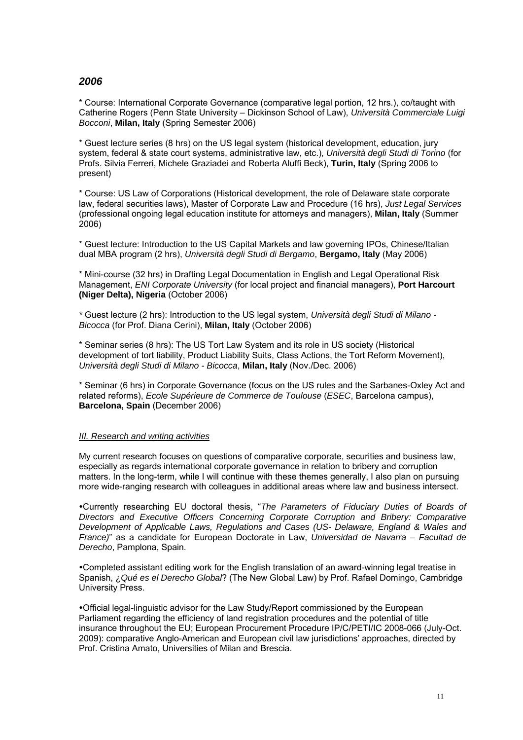# *2006*

\* Course: International Corporate Governance (comparative legal portion, 12 hrs.), co/taught with Catherine Rogers (Penn State University – Dickinson School of Law), *Università Commerciale Luigi Bocconi*, **Milan, Italy** (Spring Semester 2006)

\* Guest lecture series (8 hrs) on the US legal system (historical development, education, jury system, federal & state court systems, administrative law, etc.), *Università degli Studi di Torino* (for Profs. Silvia Ferreri, Michele Graziadei and Roberta Aluffi Beck), **Turin, Italy** (Spring 2006 to present)

\* Course: US Law of Corporations (Historical development, the role of Delaware state corporate law, federal securities laws), Master of Corporate Law and Procedure (16 hrs), *Just Legal Services*  (professional ongoing legal education institute for attorneys and managers), **Milan, Italy** (Summer 2006)

\* Guest lecture: Introduction to the US Capital Markets and law governing IPOs, Chinese/Italian dual MBA program (2 hrs), *Università degli Studi di Bergamo*, **Bergamo, Italy** (May 2006)

\* Mini-course (32 hrs) in Drafting Legal Documentation in English and Legal Operational Risk Management, *ENI Corporate University* (for local project and financial managers), **Port Harcourt (Niger Delta), Nigeria** (October 2006)

*\** Guest lecture (2 hrs): Introduction to the US legal system, *Università degli Studi di Milano - Bicocca* (for Prof. Diana Cerini), **Milan, Italy** (October 2006)

\* Seminar series (8 hrs): The US Tort Law System and its role in US society (Historical development of tort liability, Product Liability Suits, Class Actions, the Tort Reform Movement), *Università degli Studi di Milano - Bicocca*, **Milan, Italy** (Nov./Dec. 2006)

\* Seminar (6 hrs) in Corporate Governance (focus on the US rules and the Sarbanes-Oxley Act and related reforms), *Ecole Supérieure de Commerce de Toulouse* (*ESEC*, Barcelona campus), **Barcelona, Spain** (December 2006)

### *III. Research and writing activities*

My current research focuses on questions of comparative corporate, securities and business law, especially as regards international corporate governance in relation to bribery and corruption matters. In the long-term, while I will continue with these themes generally, I also plan on pursuing more wide-ranging research with colleagues in additional areas where law and business intersect.

Currently researching EU doctoral thesis, "*The Parameters of Fiduciary Duties of Boards of Directors and Executive Officers Concerning Corporate Corruption and Bribery: Comparative Development of Applicable Laws, Regulations and Cases (US- Delaware, England & Wales and France)*" as a candidate for European Doctorate in Law, *Universidad de Navarra – Facultad de Derecho*, Pamplona, Spain.

Completed assistant editing work for the English translation of an award-winning legal treatise in Spanish, ¿*Qué es el Derecho Global*? (The New Global Law) by Prof. Rafael Domingo, Cambridge University Press.

Official legal-linguistic advisor for the Law Study/Report commissioned by the European Parliament regarding the efficiency of land registration procedures and the potential of title insurance throughout the EU; European Procurement Procedure IP/C/PETI/IC 2008-066 (July-Oct. 2009): comparative Anglo-American and European civil law jurisdictions' approaches, directed by Prof. Cristina Amato, Universities of Milan and Brescia.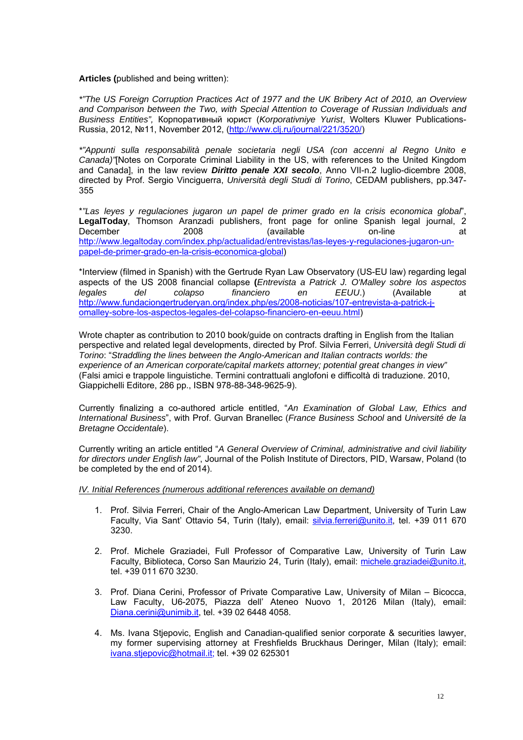**Articles (**published and being written):

*\*"The US Foreign Corruption Practices Act of 1977 and the UK Bribery Act of 2010, an Overview and Comparison between the Two, with Special Attention to Coverage of Russian Individuals and Business Entities",* Корпоративный юрист (*Korporativniye Yurist*, Wolters Kluwer Publications-Russia, 2012, №11, November 2012, (http://www.clj.ru/journal/221/3520/)

*\*"Appunti sulla responsabilità penale societaria negli USA (con accenni al Regno Unito e Canada)"*[Notes on Corporate Criminal Liability in the US, with references to the United Kingdom and Canada], in the law review *Diritto penale XXI secolo*, Anno VII-n.2 luglio-dicembre 2008, directed by Prof. Sergio Vinciguerra, *Università degli Studi di Torino*, CEDAM publishers, pp.347- 355

\**"Las leyes y regulaciones jugaron un papel de primer grado en la crisis economica global*", **LegalToday**, Thomson Aranzadi publishers, front page for online Spanish legal journal, 2 December 2008 (available on-line at http://www.legaltoday.com/index.php/actualidad/entrevistas/las-leyes-y-regulaciones-jugaron-unpapel-de-primer-grado-en-la-crisis-economica-global)

\*Interview (filmed in Spanish) with the Gertrude Ryan Law Observatory (US-EU law) regarding legal aspects of the US 2008 financial collapse **(***Entrevista a Patrick J. O'Malley sobre los aspectos legales del colapso financiero en EEUU*.) (Available at http://www.fundaciongertruderyan.org/index.php/es/2008-noticias/107-entrevista-a-patrick-jomalley-sobre-los-aspectos-legales-del-colapso-financiero-en-eeuu.html)

Wrote chapter as contribution to 2010 book/guide on contracts drafting in English from the Italian perspective and related legal developments, directed by Prof. Silvia Ferreri, *Università degli Studi di Torino*: "*Straddling the lines between the Anglo-American and Italian contracts worlds: the experience of an American corporate/capital markets attorney; potential great changes in view"*  (Falsi amici e trappole linguistiche. Termini contrattuali anglofoni e difficoltà di traduzione. 2010, Giappichelli Editore, 286 pp., ISBN 978-88-348-9625-9).

Currently finalizing a co-authored article entitled, "*An Examination of Global Law, Ethics and International Business*", with Prof. Gurvan Branellec (*France Business School* and *Université de la Bretagne Occidentale*).

Currently writing an article entitled "*A General Overview of Criminal, administrative and civil liability for directors under English law"*, Journal of the Polish Institute of Directors, PID, Warsaw, Poland (to be completed by the end of 2014).

*IV. Initial References (numerous additional references available on demand)*

- 1. Prof. Silvia Ferreri, Chair of the Anglo-American Law Department, University of Turin Law Faculty, Via Sant' Ottavio 54, Turin (Italy), email: silvia.ferreri@unito.it, tel. +39 011 670 3230.
- 2. Prof. Michele Graziadei, Full Professor of Comparative Law, University of Turin Law Faculty, Biblioteca, Corso San Maurizio 24, Turin (Italy), email: michele.graziadei@unito.it, tel. +39 011 670 3230.
- 3. Prof. Diana Cerini, Professor of Private Comparative Law, University of Milan Bicocca, Law Faculty, U6-2075, Piazza dell' Ateneo Nuovo 1, 20126 Milan (Italy), email: Diana.cerini@unimib.it, tel. +39 02 6448 4058.
- 4. Ms. Ivana Stjepovic, English and Canadian-qualified senior corporate & securities lawyer, my former supervising attorney at Freshfields Bruckhaus Deringer, Milan (Italy); email: ivana.stjepovic@hotmail.it; tel. +39 02 625301